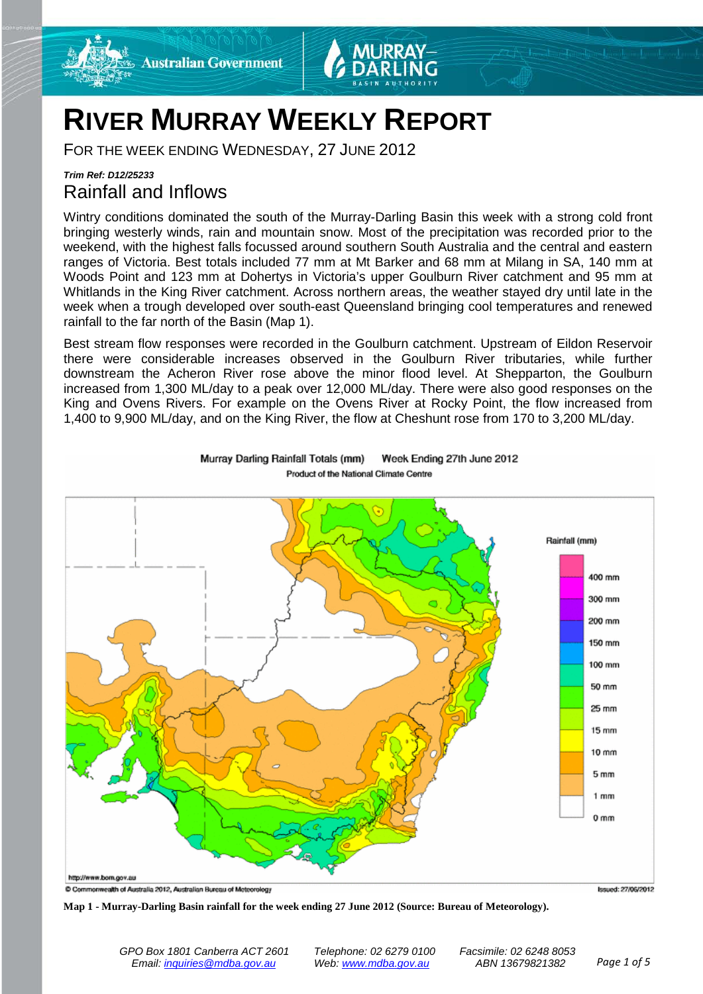



## **RIVER MURRAY WEEKLY REPORT**

FOR THE WEEK ENDING WEDNESDAY, 27 JUNE 2012

### *Trim Ref: D12/25233* Rainfall and Inflows

Wintry conditions dominated the south of the Murray-Darling Basin this week with a strong cold front bringing westerly winds, rain and mountain snow. Most of the precipitation was recorded prior to the weekend, with the highest falls focussed around southern South Australia and the central and eastern ranges of Victoria. Best totals included 77 mm at Mt Barker and 68 mm at Milang in SA, 140 mm at Woods Point and 123 mm at Dohertys in Victoria's upper Goulburn River catchment and 95 mm at Whitlands in the King River catchment. Across northern areas, the weather stayed dry until late in the week when a trough developed over south-east Queensland bringing cool temperatures and renewed rainfall to the far north of the Basin (Map 1).

Best stream flow responses were recorded in the Goulburn catchment. Upstream of Eildon Reservoir there were considerable increases observed in the Goulburn River tributaries, while further downstream the Acheron River rose above the minor flood level. At Shepparton, the Goulburn increased from 1,300 ML/day to a peak over 12,000 ML/day. There were also good responses on the King and Ovens Rivers. For example on the Ovens River at Rocky Point, the flow increased from 1,400 to 9,900 ML/day, and on the King River, the flow at Cheshunt rose from 170 to 3,200 ML/day.



Murray Darling Rainfall Totals (mm) Week Ending 27th June 2012 Product of the National Climate Centre

**Map 1 - Murray-Darling Basin rainfall for the week ending 27 June 2012 (Source: Bureau of Meteorology).**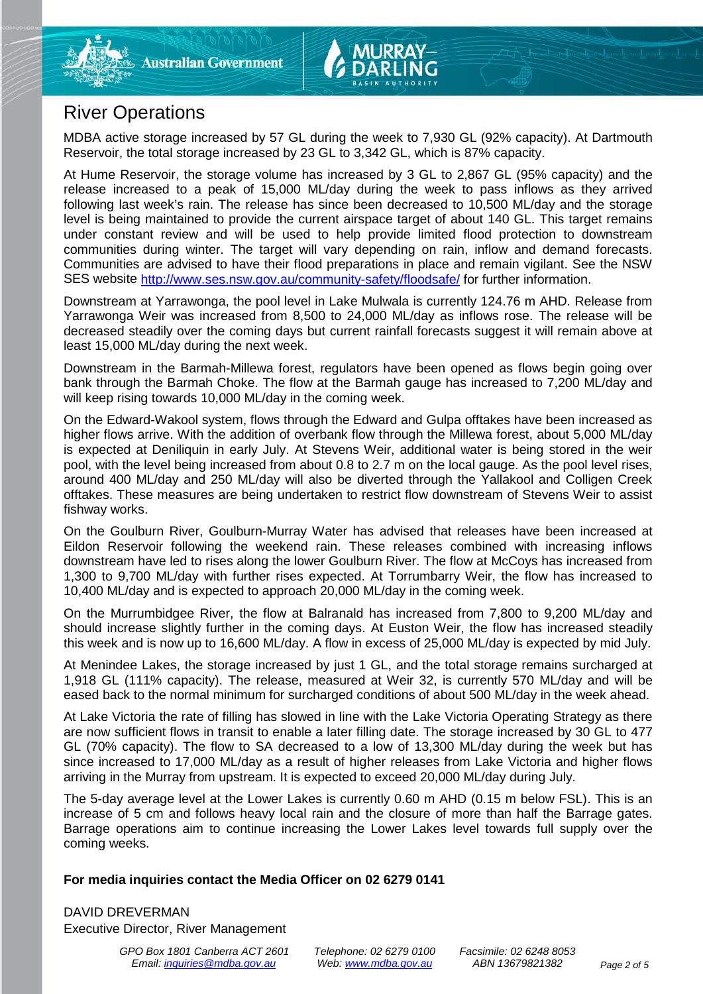

## River Operations

MDBA active storage increased by 57 GL during the week to 7,930 GL (92% capacity). At Dartmouth Reservoir, the total storage increased by 23 GL to 3,342 GL, which is 87% capacity.

At Hume Reservoir, the storage volume has increased by 3 GL to 2,867 GL (95% capacity) and the release increased to a peak of 15,000 ML/day during the week to pass inflows as they arrived following last week's rain. The release has since been decreased to 10,500 ML/day and the storage level is being maintained to provide the current airspace target of about 140 GL. This target remains under constant review and will be used to help provide limited flood protection to downstream communities during winter. The target will vary depending on rain, inflow and demand forecasts. Communities are advised to have their flood preparations in place and remain vigilant. See the NSW SES website <http://www.ses.nsw.gov.au/community-safety/floodsafe/> for further information.

Downstream at Yarrawonga, the pool level in Lake Mulwala is currently 124.76 m AHD. Release from Yarrawonga Weir was increased from 8,500 to 24,000 ML/day as inflows rose. The release will be decreased steadily over the coming days but current rainfall forecasts suggest it will remain above at least 15,000 ML/day during the next week.

Downstream in the Barmah-Millewa forest, regulators have been opened as flows begin going over bank through the Barmah Choke. The flow at the Barmah gauge has increased to 7,200 ML/day and will keep rising towards 10,000 ML/day in the coming week.

On the Edward-Wakool system, flows through the Edward and Gulpa offtakes have been increased as higher flows arrive. With the addition of overbank flow through the Millewa forest, about 5,000 ML/day is expected at Deniliquin in early July. At Stevens Weir, additional water is being stored in the weir pool, with the level being increased from about 0.8 to 2.7 m on the local gauge. As the pool level rises, around 400 ML/day and 250 ML/day will also be diverted through the Yallakool and Colligen Creek offtakes. These measures are being undertaken to restrict flow downstream of Stevens Weir to assist fishway works.

On the Goulburn River, Goulburn-Murray Water has advised that releases have been increased at Eildon Reservoir following the weekend rain. These releases combined with increasing inflows downstream have led to rises along the lower Goulburn River. The flow at McCoys has increased from 1,300 to 9,700 ML/day with further rises expected. At Torrumbarry Weir, the flow has increased to 10,400 ML/day and is expected to approach 20,000 ML/day in the coming week.

On the Murrumbidgee River, the flow at Balranald has increased from 7,800 to 9,200 ML/day and should increase slightly further in the coming days. At Euston Weir, the flow has increased steadily this week and is now up to 16,600 ML/day. A flow in excess of 25,000 ML/day is expected by mid July.

At Menindee Lakes, the storage increased by just 1 GL, and the total storage remains surcharged at 1,918 GL (111% capacity). The release, measured at Weir 32, is currently 570 ML/day and will be eased back to the normal minimum for surcharged conditions of about 500 ML/day in the week ahead.

At Lake Victoria the rate of filling has slowed in line with the Lake Victoria Operating Strategy as there are now sufficient flows in transit to enable a later filling date. The storage increased by 30 GL to 477 GL (70% capacity). The flow to SA decreased to a low of 13,300 ML/day during the week but has since increased to 17,000 ML/day as a result of higher releases from Lake Victoria and higher flows arriving in the Murray from upstream. It is expected to exceed 20,000 ML/day during July.

The 5-day average level at the Lower Lakes is currently 0.60 m AHD (0.15 m below FSL). This is an increase of 5 cm and follows heavy local rain and the closure of more than half the Barrage gates. Barrage operations aim to continue increasing the Lower Lakes level towards full supply over the coming weeks.

#### **For media inquiries contact the Media Officer on 02 6279 0141**

DAVID DREVERMAN Executive Director, River Management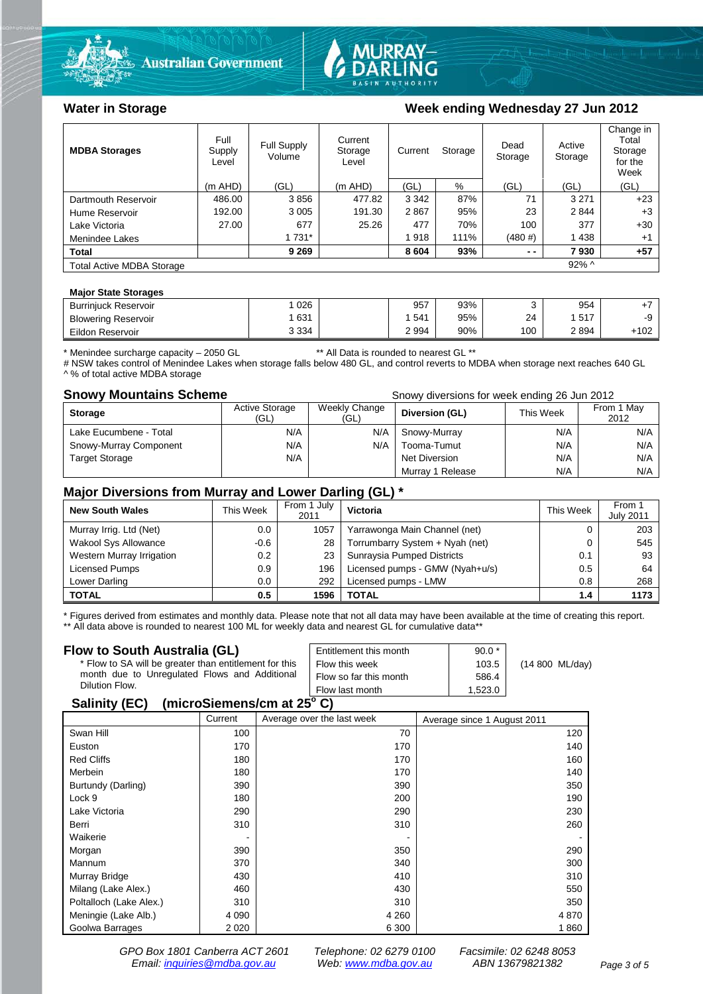



#### Water in Storage Week ending Wednesday 27 Jun 2012

| <b>MDBA Storages</b>             | Full<br>Supply<br>Level | Full Supply<br>Volume | Current<br>Storage<br>Level | Current<br>Storage |      | Dead<br>Storage | Active<br>Storage | Change in<br>Total<br>Storage<br>for the<br>Week |
|----------------------------------|-------------------------|-----------------------|-----------------------------|--------------------|------|-----------------|-------------------|--------------------------------------------------|
|                                  | $(m$ AHD)               | (GL)                  | $(m$ AHD)                   | (GL)               | %    | (GL)            | (GL)              | (GL)                                             |
| Dartmouth Reservoir              | 486.00                  | 3856                  | 477.82                      | 3 3 4 2            | 87%  | 71              | 3 2 7 1           | $+23$                                            |
| Hume Reservoir                   | 192.00                  | 3 0 0 5               | 191.30                      | 2867               | 95%  | 23              | 2844              | $+3$                                             |
| Lake Victoria                    | 27.00                   | 677                   | 25.26                       | 477                | 70%  | 100             | 377               | $+30$                                            |
| Menindee Lakes                   |                         | 1 7 3 1 *             |                             | 1918               | 111% | (480#)          | 1438              | $+1$                                             |
| <b>Total</b>                     |                         | 9 2 6 9               |                             | 8 6 0 4            | 93%  | $ -$            | 7930              | $+57$                                            |
| <b>Total Active MDBA Storage</b> |                         |                       |                             |                    |      |                 | $92\%$ ^          |                                                  |

#### **Major State Storages**

| <b>Burriniuck Reservoir</b> | 026     | 957  | 93% |     | 954                     |        |
|-----------------------------|---------|------|-----|-----|-------------------------|--------|
| <b>Blowering Reservoir</b>  | 631     | 541  | 95% | 24  | <b>517</b><br><b>UI</b> | -9     |
| Eildon<br>ı Reservoir       | 3 3 3 4 | 2994 | 90% | 100 | 2894                    | $+102$ |
|                             |         |      |     |     |                         |        |

\* Menindee surcharge capacity – 2050 GL \*\* All Data is rounded to nearest GL \*\*

# NSW takes control of Menindee Lakes when storage falls below 480 GL, and control reverts to MDBA when storage next reaches 640 GL ^ % of total active MDBA storage

**Snowy Mountains Scheme Snowy diversions for week ending 26 Jun 2012** 

| <b>Storage</b>         | <b>Active Storage</b><br>(GL) | Weekly Change<br>(GL) | Diversion (GL)   | This Week | From 1 May<br>2012 |
|------------------------|-------------------------------|-----------------------|------------------|-----------|--------------------|
| Lake Eucumbene - Total | N/A                           | N/A                   | Snowy-Murray     | N/A       | N/A                |
| Snowy-Murray Component | N/A                           | N/A                   | Tooma-Tumut      | N/A       | N/A                |
| <b>Target Storage</b>  | N/A                           |                       | Net Diversion    | N/A       | N/A                |
|                        |                               |                       | Murray 1 Release | N/A       | N/A                |

#### **Major Diversions from Murray and Lower Darling (GL) \***

| <b>New South Wales</b>    | This Week | From 1 July<br>2011 | <b>Victoria</b>                 | This Week | From 1<br><b>July 2011</b> |
|---------------------------|-----------|---------------------|---------------------------------|-----------|----------------------------|
| Murray Irrig. Ltd (Net)   | 0.0       | 1057                | Yarrawonga Main Channel (net)   |           | 203                        |
| Wakool Sys Allowance      | $-0.6$    | 28                  | Torrumbarry System + Nyah (net) |           | 545                        |
| Western Murray Irrigation | 0.2       | 23                  | Sunraysia Pumped Districts      | 0.1       | 93                         |
| Licensed Pumps            | 0.9       | 196                 | Licensed pumps - GMW (Nyah+u/s) | 0.5       | 64                         |
| Lower Darling             | 0.0       | 292                 | Licensed pumps - LMW            | 0.8       | 268                        |
| <b>TOTAL</b>              | 0.5       | 1596                | <b>TOTAL</b>                    | 1.4       | 1173                       |

\* Figures derived from estimates and monthly data. Please note that not all data may have been available at the time of creating this report. \*\* All data above is rounded to nearest 100 ML for weekly data and nearest GL for cumulative data\*\*

#### **Flow to South Australia (GL)**

| Flow to South Australia (GL)<br>* Flow to SA will be greater than entitlement for this<br>month due to Unregulated Flows and Additional<br>Dilution Flow. | Entitlement this month<br>Flow this week<br>Flow so far this month | $90.0*$<br>103.5<br>586.4 | (14 800 ML/day) |  |  |
|-----------------------------------------------------------------------------------------------------------------------------------------------------------|--------------------------------------------------------------------|---------------------------|-----------------|--|--|
|                                                                                                                                                           | Flow last month                                                    | 1.523.0                   |                 |  |  |
| $\frac{1}{2}$<br>0.1111100                                                                                                                                |                                                                    |                           |                 |  |  |

#### **Salinity (EC) (microSiemens/cm at 25o C)**

|                         | Current | Average over the last week | Average since 1 August 2011 |
|-------------------------|---------|----------------------------|-----------------------------|
| Swan Hill               | 100     | 70                         | 120                         |
| Euston                  | 170     | 170                        | 140                         |
| <b>Red Cliffs</b>       | 180     | 170                        | 160                         |
| Merbein                 | 180     | 170                        | 140                         |
| Burtundy (Darling)      | 390     | 390                        | 350                         |
| Lock 9                  | 180     | 200                        | 190                         |
| Lake Victoria           | 290     | 290                        | 230                         |
| Berri                   | 310     | 310                        | 260                         |
| Waikerie                | -       |                            |                             |
| Morgan                  | 390     | 350                        | 290                         |
| Mannum                  | 370     | 340                        | 300                         |
| Murray Bridge           | 430     | 410                        | 310                         |
| Milang (Lake Alex.)     | 460     | 430                        | 550                         |
| Poltalloch (Lake Alex.) | 310     | 310                        | 350                         |
| Meningie (Lake Alb.)    | 4 0 9 0 | 4 2 6 0                    | 4 8 7 0                     |
| Goolwa Barrages         | 2 0 2 0 | 6 300                      | 1860                        |

*GPO Box 1801 Canberra ACT 2601 Telephone: 02 6279 0100 Facsimile: 02 6248 8053 Email: [inquiries@mdba.gov.au](mailto:inquiries@mdba.gov.au) Web: [www.mdba.gov.au](http://www.mdba.gov.au/) ABN 13679821382 Page 3 of 5*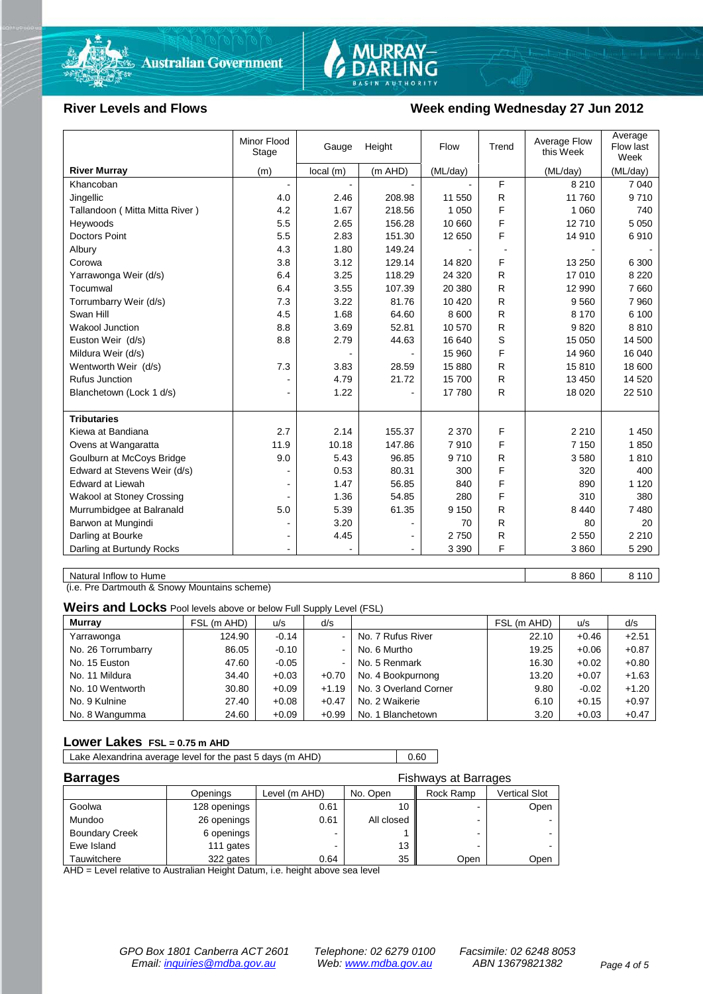

# MURRAY-<br>DARLING

#### River Levels and Flows **Week ending Wednesday 27 Jun 2012**

|                                  | <b>Minor Flood</b><br>Stage | Gauge     | Height    | Flow     | Trend | Average Flow<br>this Week | Average<br>Flow last<br>Week |
|----------------------------------|-----------------------------|-----------|-----------|----------|-------|---------------------------|------------------------------|
| <b>River Murray</b>              | (m)                         | local (m) | $(m$ AHD) | (ML/day) |       | (ML/day)                  | (ML/day)                     |
| Khancoban                        |                             |           |           |          | F     | 8 2 1 0                   | 7 0 4 0                      |
| Jingellic                        | 4.0                         | 2.46      | 208.98    | 11 550   | R     | 11 760                    | 9710                         |
| Tallandoon (Mitta Mitta River)   | 4.2                         | 1.67      | 218.56    | 1 0 5 0  | F     | 1 0 6 0                   | 740                          |
| Heywoods                         | 5.5                         | 2.65      | 156.28    | 10 660   | F     | 12710                     | 5 0 5 0                      |
| <b>Doctors Point</b>             | 5.5                         | 2.83      | 151.30    | 12 650   | F     | 14 910                    | 6910                         |
| Albury                           | 4.3                         | 1.80      | 149.24    |          |       |                           |                              |
| Corowa                           | 3.8                         | 3.12      | 129.14    | 14 8 20  | F     | 13 250                    | 6 300                        |
| Yarrawonga Weir (d/s)            | 6.4                         | 3.25      | 118.29    | 24 3 20  | R     | 17 010                    | 8 2 2 0                      |
| Tocumwal                         | 6.4                         | 3.55      | 107.39    | 20 380   | R     | 12 990                    | 7660                         |
| Torrumbarry Weir (d/s)           | 7.3                         | 3.22      | 81.76     | 10 4 20  | R     | 9 5 6 0                   | 7 9 6 0                      |
| Swan Hill                        | 4.5                         | 1.68      | 64.60     | 8 600    | R     | 8 1 7 0                   | 6 100                        |
| Wakool Junction                  | 8.8                         | 3.69      | 52.81     | 10 570   | R     | 9820                      | 8810                         |
| Euston Weir (d/s)                | 8.8                         | 2.79      | 44.63     | 16 640   | S     | 15 050                    | 14 500                       |
| Mildura Weir (d/s)               |                             |           |           | 15 960   | F     | 14 960                    | 16 040                       |
| Wentworth Weir (d/s)             | 7.3                         | 3.83      | 28.59     | 15 880   | R     | 15810                     | 18 600                       |
| <b>Rufus Junction</b>            |                             | 4.79      | 21.72     | 15700    | R     | 13 450                    | 14 5 20                      |
| Blanchetown (Lock 1 d/s)         | $\blacksquare$              | 1.22      |           | 17780    | R     | 18 0 20                   | 22 510                       |
|                                  |                             |           |           |          |       |                           |                              |
| <b>Tributaries</b>               |                             |           |           |          |       |                           |                              |
| Kiewa at Bandiana                | 2.7                         | 2.14      | 155.37    | 2 3 7 0  | F     | 2 2 1 0                   | 1 4 5 0                      |
| Ovens at Wangaratta              | 11.9                        | 10.18     | 147.86    | 7910     | F     | 7 1 5 0                   | 1850                         |
| Goulburn at McCoys Bridge        | 9.0                         | 5.43      | 96.85     | 9710     | R     | 3580                      | 1810                         |
| Edward at Stevens Weir (d/s)     |                             | 0.53      | 80.31     | 300      | F     | 320                       | 400                          |
| <b>Edward at Liewah</b>          |                             | 1.47      | 56.85     | 840      | F     | 890                       | 1 1 2 0                      |
| <b>Wakool at Stoney Crossing</b> |                             | 1.36      | 54.85     | 280      | F     | 310                       | 380                          |
| Murrumbidgee at Balranald        | 5.0                         | 5.39      | 61.35     | 9 1 5 0  | R     | 8 4 4 0                   | 7480                         |
| Barwon at Mungindi               | $\blacksquare$              | 3.20      |           | 70       | R     | 80                        | 20                           |
| Darling at Bourke                | ۰                           | 4.45      |           | 2750     | R     | 2 5 5 0                   | 2 2 1 0                      |
| Darling at Burtundy Rocks        |                             |           |           | 3 3 9 0  | F     | 3860                      | 5 2 9 0                      |

Natural Inflow to Hume 8 8 10

(i.e. Pre Dartmouth & Snowy Mountains scheme)

**Weirs and Locks** Pool levels above or below Full Supply Level (FSL)

| <b>Murray</b>      | FSL (m AHD) | u/s     | d/s                      |                       | FSL (m AHD) | u/s     | d/s     |
|--------------------|-------------|---------|--------------------------|-----------------------|-------------|---------|---------|
| Yarrawonga         | 124.90      | $-0.14$ | $\blacksquare$           | No. 7 Rufus River     | 22.10       | $+0.46$ | $+2.51$ |
| No. 26 Torrumbarry | 86.05       | $-0.10$ | $\sim$                   | No. 6 Murtho          | 19.25       | $+0.06$ | $+0.87$ |
| No. 15 Euston      | 47.60       | $-0.05$ | $\overline{\phantom{a}}$ | No. 5 Renmark         | 16.30       | $+0.02$ | $+0.80$ |
| No. 11 Mildura     | 34.40       | $+0.03$ | $+0.70$                  | No. 4 Bookpurnong     | 13.20       | $+0.07$ | $+1.63$ |
| No. 10 Wentworth   | 30.80       | $+0.09$ | $+1.19$                  | No. 3 Overland Corner | 9.80        | $-0.02$ | $+1.20$ |
| No. 9 Kulnine      | 27.40       | $+0.08$ | $+0.47$                  | No. 2 Waikerie        | 6.10        | $+0.15$ | $+0.97$ |
| No. 8 Wangumma     | 24.60       | $+0.09$ | $+0.99$                  | No. 1 Blanchetown     | 3.20        | $+0.03$ | $+0.47$ |

#### **Lower Lakes FSL = 0.75 m AHD**

Lake Alexandrina average level for the past 5 days (m AHD) 0.60

| <b>Barrages</b>       |              | <b>Fishways at Barrages</b> |            |                |                      |
|-----------------------|--------------|-----------------------------|------------|----------------|----------------------|
|                       | Openings     | Level (m AHD)               | No. Open   | Rock Ramp      | <b>Vertical Slot</b> |
| Goolwa                | 128 openings | 0.61                        |            | $\blacksquare$ | Open                 |
| Mundoo                | 26 openings  | 0.61                        | All closed |                |                      |
| <b>Boundary Creek</b> | 6 openings   |                             |            | $\blacksquare$ |                      |
| Ewe Island            | 111 gates    |                             | 13         |                |                      |
| Tauwitchere           | 322 gates    | 0.64                        | 35         | Open           | Open                 |

AHD = Level relative to Australian Height Datum, i.e. height above sea level